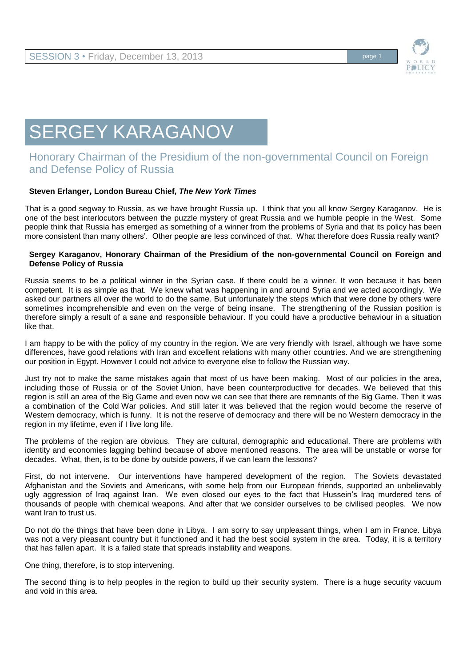

# SERGEY KARAGANOV

# Honorary Chairman of the Presidium of the non-governmental Council on Foreign and Defense Policy of Russia

## **Steven Erlanger, London Bureau Chief,** *The New York Times*

That is a good segway to Russia, as we have brought Russia up. I think that you all know Sergey Karaganov. He is one of the best interlocutors between the puzzle mystery of great Russia and we humble people in the West. Some people think that Russia has emerged as something of a winner from the problems of Syria and that its policy has been more consistent than many others'. Other people are less convinced of that. What therefore does Russia really want?

#### **Sergey Karaganov, Honorary Chairman of the Presidium of the non-governmental Council on Foreign and Defense Policy of Russia**

Russia seems to be a political winner in the Syrian case. If there could be a winner. It won because it has been competent. It is as simple as that. We knew what was happening in and around Syria and we acted accordingly. We asked our partners all over the world to do the same. But unfortunately the steps which that were done by others were sometimes incomprehensible and even on the verge of being insane. The strengthening of the Russian position is therefore simply a result of a sane and responsible behaviour. If you could have a productive behaviour in a situation like that.

I am happy to be with the policy of my country in the region. We are very friendly with Israel, although we have some differences, have good relations with Iran and excellent relations with many other countries. And we are strengthening our position in Egypt. However I could not advice to everyone else to follow the Russian way.

Just try not to make the same mistakes again that most of us have been making. Most of our policies in the area, including those of Russia or of the Soviet Union, have been counterproductive for decades. We believed that this region is still an area of the Big Game and even now we can see that there are remnants of the Big Game. Then it was a combination of the Cold War policies. And still later it was believed that the region would become the reserve of Western democracy, which is funny. It is not the reserve of democracy and there will be no Western democracy in the region in my lifetime, even if I live long life.

The problems of the region are obvious. They are cultural, demographic and educational. There are problems with identity and economies lagging behind because of above mentioned reasons. The area will be unstable or worse for decades. What, then, is to be done by outside powers, if we can learn the lessons?

First, do not intervene. Our interventions have hampered development of the region. The Soviets devastated Afghanistan and the Soviets and Americans, with some help from our European friends, supported an unbelievably ugly aggression of Iraq against Iran. We even closed our eyes to the fact that Hussein's Iraq murdered tens of thousands of people with chemical weapons. And after that we consider ourselves to be civilised peoples. We now want Iran to trust us.

Do not do the things that have been done in Libya. I am sorry to say unpleasant things, when I am in France. Libya was not a very pleasant country but it functioned and it had the best social system in the area. Today, it is a territory that has fallen apart. It is a failed state that spreads instability and weapons.

One thing, therefore, is to stop intervening.

The second thing is to help peoples in the region to build up their security system. There is a huge security vacuum and void in this area.